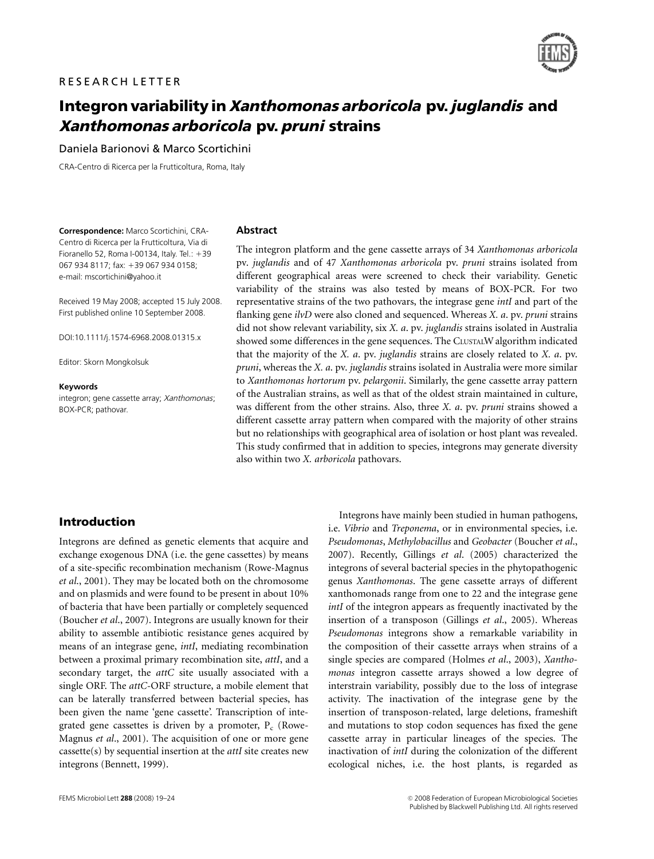

# Integron variability in Xanthomonas arboricola pv. juglandis and Xanthomonas arboricola pv. pruni strains

Daniela Barionovi & Marco Scortichini

CRA-Centro di Ricerca per la Frutticoltura, Roma, Italy

Correspondence: Marco Scortichini, CRA-Centro di Ricerca per la Frutticoltura, Via di Fioranello 52, Roma I-00134, Italy. Tel.:  $+39$ 067 934 8117; fax: +39 067 934 0158; e-mail: mscortichini@yahoo.it

Received 19 May 2008; accepted 15 July 2008. First published online 10 September 2008.

DOI:10.1111/j.1574-6968.2008.01315.x

Editor: Skorn Mongkolsuk

Keywords

integron; gene cassette array; Xanthomonas; BOX-PCR; pathovar.

#### Abstract

The integron platform and the gene cassette arrays of 34 Xanthomonas arboricola pv. juglandis and of 47 Xanthomonas arboricola pv. pruni strains isolated from different geographical areas were screened to check their variability. Genetic variability of the strains was also tested by means of BOX-PCR. For two representative strains of the two pathovars, the integrase gene intI and part of the flanking gene *ilvD* were also cloned and sequenced. Whereas *X. a.* pv. *pruni* strains did not show relevant variability, six X. a. pv. juglandis strains isolated in Australia showed some differences in the gene sequences. The CLUSTALW algorithm indicated that the majority of the X. a. pv. juglandis strains are closely related to X. a. pv. pruni, whereas the X. a. pv. juglandis strains isolated in Australia were more similar to Xanthomonas hortorum pv. pelargonii. Similarly, the gene cassette array pattern of the Australian strains, as well as that of the oldest strain maintained in culture, was different from the other strains. Also, three X. a. pv. pruni strains showed a different cassette array pattern when compared with the majority of other strains but no relationships with geographical area of isolation or host plant was revealed. This study confirmed that in addition to species, integrons may generate diversity also within two X. arboricola pathovars.

# Introduction

Integrons are defined as genetic elements that acquire and exchange exogenous DNA (i.e. the gene cassettes) by means of a site-specific recombination mechanism (Rowe-Magnus et al., 2001). They may be located both on the chromosome and on plasmids and were found to be present in about 10% of bacteria that have been partially or completely sequenced (Boucher et al., 2007). Integrons are usually known for their ability to assemble antibiotic resistance genes acquired by means of an integrase gene, intI, mediating recombination between a proximal primary recombination site, attI, and a secondary target, the attC site usually associated with a single ORF. The attC-ORF structure, a mobile element that can be laterally transferred between bacterial species, has been given the name 'gene cassette'. Transcription of integrated gene cassettes is driven by a promoter,  $P_c$  (Rowe-Magnus et al., 2001). The acquisition of one or more gene cassette(s) by sequential insertion at the attI site creates new integrons (Bennett, 1999).

Integrons have mainly been studied in human pathogens, i.e. Vibrio and Treponema, or in environmental species, i.e. Pseudomonas, Methylobacillus and Geobacter (Boucher et al., 2007). Recently, Gillings et al. (2005) characterized the integrons of several bacterial species in the phytopathogenic genus Xanthomonas. The gene cassette arrays of different xanthomonads range from one to 22 and the integrase gene intI of the integron appears as frequently inactivated by the insertion of a transposon (Gillings et al., 2005). Whereas Pseudomonas integrons show a remarkable variability in the composition of their cassette arrays when strains of a single species are compared (Holmes et al., 2003), Xanthomonas integron cassette arrays showed a low degree of interstrain variability, possibly due to the loss of integrase activity. The inactivation of the integrase gene by the insertion of transposon-related, large deletions, frameshift and mutations to stop codon sequences has fixed the gene cassette array in particular lineages of the species. The inactivation of intI during the colonization of the different ecological niches, i.e. the host plants, is regarded as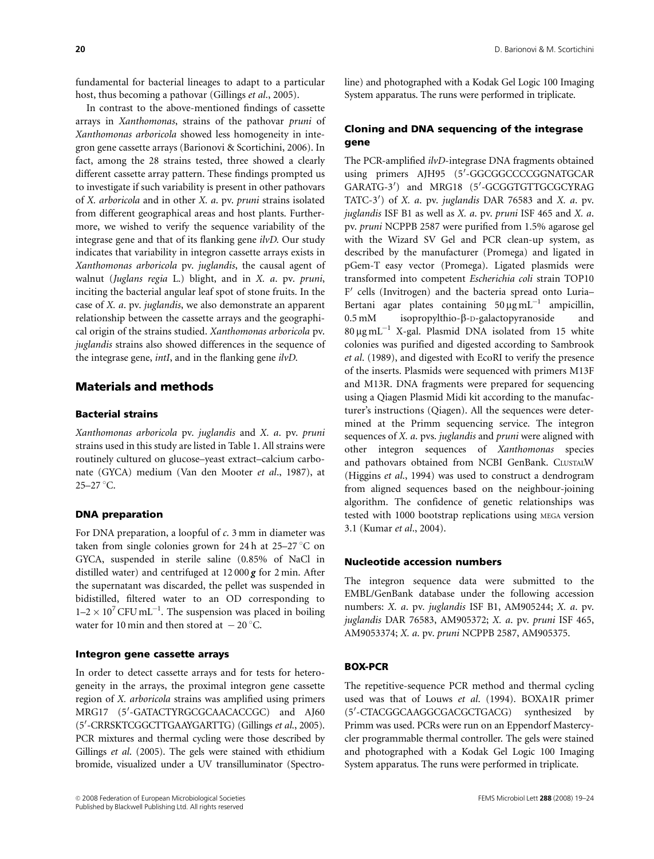fundamental for bacterial lineages to adapt to a particular host, thus becoming a pathovar (Gillings et al., 2005).

In contrast to the above-mentioned findings of cassette arrays in Xanthomonas, strains of the pathovar pruni of Xanthomonas arboricola showed less homogeneity in integron gene cassette arrays (Barionovi & Scortichini, 2006). In fact, among the 28 strains tested, three showed a clearly different cassette array pattern. These findings prompted us to investigate if such variability is present in other pathovars of X. arboricola and in other X. a. pv. pruni strains isolated from different geographical areas and host plants. Furthermore, we wished to verify the sequence variability of the integrase gene and that of its flanking gene ilvD. Our study indicates that variability in integron cassette arrays exists in Xanthomonas arboricola pv. juglandis, the causal agent of walnut (Juglans regia L.) blight, and in X. a. pv. pruni, inciting the bacterial angular leaf spot of stone fruits. In the case of X. a. pv. juglandis, we also demonstrate an apparent relationship between the cassette arrays and the geographical origin of the strains studied. Xanthomonas arboricola pv. juglandis strains also showed differences in the sequence of the integrase gene, *intI*, and in the flanking gene *ilvD*.

## Materials and methods

## Bacterial strains

Xanthomonas arboricola pv. juglandis and X. a. pv. pruni strains used in this study are listed in Table 1. All strains were routinely cultured on glucose–yeast extract–calcium carbonate (GYCA) medium (Van den Mooter et al., 1987), at  $25 - 27$  °C.

#### DNA preparation

For DNA preparation, a loopful of  $c$ . 3 mm in diameter was taken from single colonies grown for 24 h at  $25-27$  °C on GYCA, suspended in sterile saline (0.85% of NaCl in distilled water) and centrifuged at 12 000 *g* for 2 min. After the supernatant was discarded, the pellet was suspended in bidistilled, filtered water to an OD corresponding to  $1-2 \times 10^7$  CFU mL<sup>-1</sup>. The suspension was placed in boiling water for 10 min and then stored at  $-20$  °C.

## Integron gene cassette arrays

In order to detect cassette arrays and for tests for heterogeneity in the arrays, the proximal integron gene cassette region of X. arboricola strains was amplified using primers MRG17 (5'-GATACTYRGCGCAACACCGC) and AJ60 (5'-CRRSKTCGGCTTGAAYGARTTG) (Gillings et al., 2005). PCR mixtures and thermal cycling were those described by Gillings et al. (2005). The gels were stained with ethidium bromide, visualized under a UV transilluminator (Spectroline) and photographed with a Kodak Gel Logic 100 Imaging System apparatus. The runs were performed in triplicate.

# Cloning and DNA sequencing of the integrase gene

The PCR-amplified ilvD-integrase DNA fragments obtained using primers AJH95 (5'-GGCGGCCCCGGNATGCAR GARATG-3') and MRG18 (5'-GCGGTGTTGCGCYRAG TATC-3') of X. a. pv. juglandis DAR 76583 and X. a. pv. juglandis ISF B1 as well as X. a. pv. pruni ISF 465 and X. a. pv. pruni NCPPB 2587 were purified from 1.5% agarose gel with the Wizard SV Gel and PCR clean-up system, as described by the manufacturer (Promega) and ligated in pGem-T easy vector (Promega). Ligated plasmids were transformed into competent Escherichia coli strain TOP10  $F'$  cells (Invitrogen) and the bacteria spread onto Luria– Bertani agar plates containing  $50 \mu g \text{mL}^{-1}$  ampicillin, 0.5 mM isopropylthio-β-D-galactopyranoside and  $80 \,\mu\text{g}\,\text{mL}^{-1}$  X-gal. Plasmid DNA isolated from 15 white colonies was purified and digested according to Sambrook et al. (1989), and digested with EcoRI to verify the presence of the inserts. Plasmids were sequenced with primers M13F and M13R. DNA fragments were prepared for sequencing using a Qiagen Plasmid Midi kit according to the manufacturer's instructions (Qiagen). All the sequences were determined at the Primm sequencing service. The integron sequences of *X. a.* pvs. *juglandis* and *pruni* were aligned with other integron sequences of Xanthomonas species and pathovars obtained from NCBI GenBank. CLUSTALW (Higgins et al., 1994) was used to construct a dendrogram from aligned sequences based on the neighbour-joining algorithm. The confidence of genetic relationships was tested with 1000 bootstrap replications using MEGA version 3.1 (Kumar et al., 2004).

#### Nucleotide accession numbers

The integron sequence data were submitted to the EMBL/GenBank database under the following accession numbers: X. a. pv. juglandis ISF B1, AM905244; X. a. pv. juglandis DAR 76583, AM905372; X. a. pv. pruni ISF 465, AM9053374; X. a. pv. pruni NCPPB 2587, AM905375.

#### BOX-PCR

The repetitive-sequence PCR method and thermal cycling used was that of Louws et al. (1994). BOXA1R primer (5'-CTACGGCAAGGCGACGCTGACG) synthesized by Primm was used. PCRs were run on an Eppendorf Mastercycler programmable thermal controller. The gels were stained and photographed with a Kodak Gel Logic 100 Imaging System apparatus. The runs were performed in triplicate.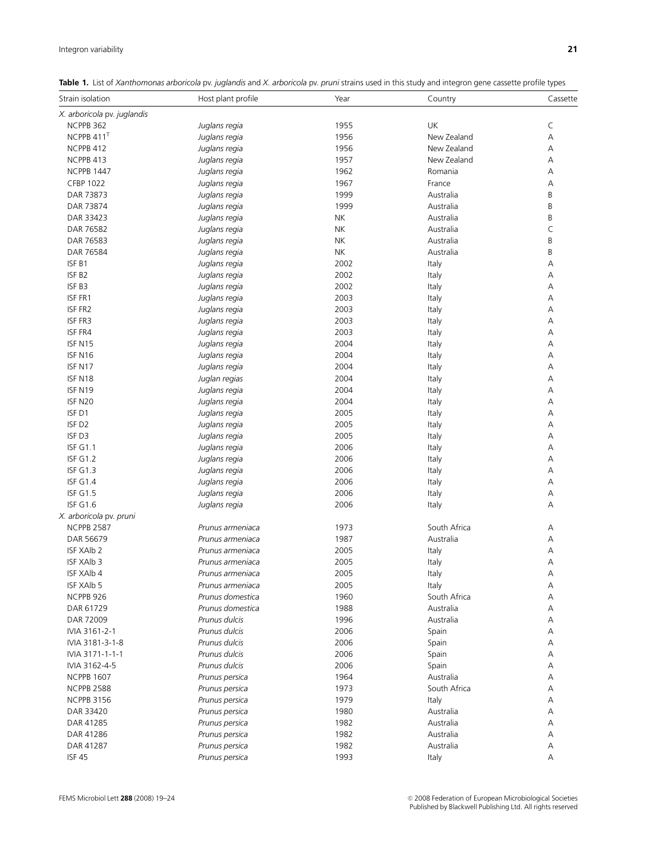Table 1. List of Xanthomonas arboricola pv. juglandis and X. arboricola pv. pruni strains used in this study and integron gene cassette profile types

| Strain isolation            | Host plant profile | Year      | Country      | Cassette |
|-----------------------------|--------------------|-----------|--------------|----------|
| X. arboricola pv. juglandis |                    |           |              |          |
| NCPPB 362                   | Juglans regia      | 1955      | UK           | C        |
| NCPPB $411$ <sup>T</sup>    | Juglans regia      | 1956      | New Zealand  | Α        |
| NCPPB 412                   | Juglans regia      | 1956      | New Zealand  | Α        |
| NCPPB 413                   | Juglans regia      | 1957      | New Zealand  | Α        |
| <b>NCPPB 1447</b>           | Juglans regia      | 1962      | Romania      | Α        |
| CFBP 1022                   | Juglans regia      | 1967      | France       | Α        |
| DAR 73873                   | Juglans regia      | 1999      | Australia    | B        |
| DAR 73874                   | Juglans regia      | 1999      | Australia    | B        |
| DAR 33423                   | Juglans regia      | NΚ        | Australia    | B        |
| DAR 76582                   | Juglans regia      | <b>NK</b> | Australia    | C        |
| DAR 76583                   | Juglans regia      | NΚ        | Australia    | B        |
| DAR 76584                   | Juglans regia      | <b>NK</b> | Australia    | B        |
| ISF <sub>B1</sub>           |                    | 2002      |              |          |
|                             | Juglans regia      |           | Italy        | Α        |
| ISF <sub>B2</sub>           | Juglans regia      | 2002      | Italy        | Α        |
| ISF <sub>B3</sub>           | Juglans regia      | 2002      | Italy        | Α        |
| ISF FR1                     | Juglans regia      | 2003      | Italy        | Α        |
| ISF FR2                     | Juglans regia      | 2003      | Italy        | Α        |
| ISF FR3                     | Juglans regia      | 2003      | Italy        | Α        |
| ISF FR4                     | Juglans regia      | 2003      | Italy        | Α        |
| ISF <sub>N15</sub>          | Juglans regia      | 2004      | Italy        | Α        |
| ISFN16                      | Juglans regia      | 2004      | Italy        | Α        |
| ISF <sub>N17</sub>          | Juglans regia      | 2004      | Italy        | A        |
| ISFN18                      | Juglan regias      | 2004      | Italy        | Α        |
| ISF N19                     | Juglans regia      | 2004      | Italy        | Α        |
| ISF N20                     | Juglans regia      | 2004      | Italy        | Α        |
| ISF <sub>D1</sub>           | Juglans regia      | 2005      | Italy        | Α        |
| ISF <sub>D2</sub>           | Juglans regia      | 2005      | Italy        | Α        |
| ISF <sub>D3</sub>           | Juglans regia      | 2005      | Italy        | Α        |
| <b>ISF G1.1</b>             | Juglans regia      | 2006      | Italy        | Α        |
| ISF $G1.2$                  | Juglans regia      | 2006      | Italy        | Α        |
| ISF G1.3                    | Juglans regia      | 2006      | Italy        | Α        |
| <b>ISF G1.4</b>             | Juglans regia      | 2006      | Italy        | Α        |
| <b>ISF G1.5</b>             | Juglans regia      | 2006      | Italy        | Α        |
| <b>ISF G1.6</b>             | Juglans regia      | 2006      | Italy        | Α        |
| X. arboricola pv. pruni     |                    |           |              |          |
| <b>NCPPB 2587</b>           | Prunus armeniaca   | 1973      | South Africa | Α        |
| DAR 56679                   | Prunus armeniaca   | 1987      | Australia    | Α        |
| ISF XAlb 2                  | Prunus armeniaca   | 2005      | Italy        | Α        |
| ISF XAIb 3                  | Prunus armeniaca   | 2005      | Italy        | Α        |
| ISF XAIb 4                  | Prunus armeniaca   | 2005      | Italy        | Α        |
| ISF XAIb 5                  | Prunus armeniaca   | 2005      | Italy        | Α        |
| NCPPB 926                   | Prunus domestica   | 1960      | South Africa | А        |
| DAR 61729                   | Prunus domestica   | 1988      | Australia    | Α        |
| DAR 72009                   | Prunus dulcis      | 1996      | Australia    | Α        |
| IVIA 3161-2-1               | Prunus dulcis      | 2006      | Spain        | Α        |
| IVIA 3181-3-1-8             | Prunus dulcis      | 2006      | Spain        | Α        |
| IVIA 3171-1-1-1             | Prunus dulcis      | 2006      | Spain        | Α        |
| IVIA 3162-4-5               | Prunus dulcis      | 2006      | Spain        | Α        |
| <b>NCPPB 1607</b>           | Prunus persica     | 1964      | Australia    | Α        |
| <b>NCPPB 2588</b>           | Prunus persica     | 1973      | South Africa | Α        |
| <b>NCPPB 3156</b>           | Prunus persica     | 1979      | Italy        | Α        |
| DAR 33420                   | Prunus persica     | 1980      | Australia    | Α        |
| DAR 41285                   | Prunus persica     | 1982      | Australia    | Α        |
| DAR 41286                   | Prunus persica     | 1982      | Australia    | Α        |
| DAR 41287                   | Prunus persica     | 1982      | Australia    | Α        |
| ISF <sub>45</sub>           | Prunus persica     | 1993      | Italy        | Α        |
|                             |                    |           |              |          |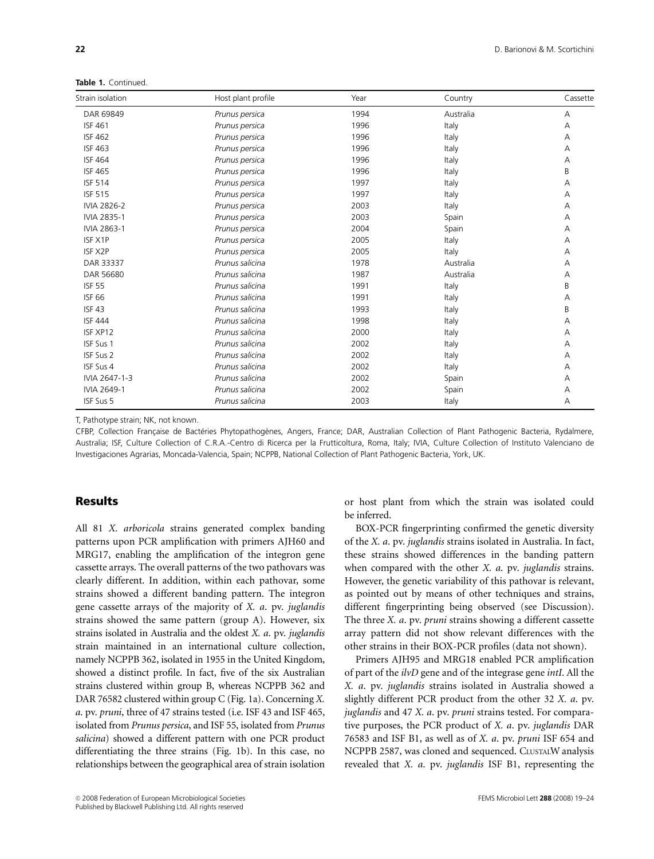Table 1. Continued

| Strain isolation   | Host plant profile | Year | Country   | Cassette |
|--------------------|--------------------|------|-----------|----------|
| DAR 69849          | Prunus persica     | 1994 | Australia | Α        |
| <b>ISF 461</b>     | Prunus persica     | 1996 | Italy     | Α        |
| <b>ISF 462</b>     | Prunus persica     | 1996 | Italy     | Α        |
| <b>ISF 463</b>     | Prunus persica     | 1996 | Italy     | Α        |
| <b>ISF 464</b>     | Prunus persica     | 1996 | Italy     | Α        |
| <b>ISF 465</b>     | Prunus persica     | 1996 | Italy     | Β        |
| <b>ISF 514</b>     | Prunus persica     | 1997 | Italy     | Α        |
| <b>ISF 515</b>     | Prunus persica     | 1997 | Italy     | Α        |
| IVIA 2826-2        | Prunus persica     | 2003 | Italy     | Α        |
| IVIA 2835-1        | Prunus persica     | 2003 | Spain     | Α        |
| <b>IVIA 2863-1</b> | Prunus persica     | 2004 | Spain     | А        |
| ISF X1P            | Prunus persica     | 2005 | Italy     | Α        |
| <b>ISF X2P</b>     | Prunus persica     | 2005 | Italy     | А        |
| DAR 33337          | Prunus salicina    | 1978 | Australia | Α        |
| DAR 56680          | Prunus salicina    | 1987 | Australia | Α        |
| <b>ISF 55</b>      | Prunus salicina    | 1991 | Italy     | Β        |
| <b>ISF 66</b>      | Prunus salicina    | 1991 | Italy     | Α        |
| ISF <sub>43</sub>  | Prunus salicina    | 1993 | Italy     | Β        |
| <b>ISF 444</b>     | Prunus salicina    | 1998 | Italy     | Α        |
| ISF XP12           | Prunus salicina    | 2000 | Italy     | Α        |
| ISF Sus 1          | Prunus salicina    | 2002 | Italy     | Α        |
| ISF Sus 2          | Prunus salicina    | 2002 | Italy     | А        |
| ISF Sus 4          | Prunus salicina    | 2002 | Italy     | Α        |
| IVIA 2647-1-3      | Prunus salicina    | 2002 | Spain     | Α        |
| IVIA 2649-1        | Prunus salicina    | 2002 | Spain     | Α        |
| ISF Sus 5          | Prunus salicina    | 2003 | Italy     | Α        |

T, Pathotype strain; NK, not known.

CFBP, Collection Francaise de Bactéries Phytopathogènes, Angers, France; DAR, Australian Collection of Plant Pathogenic Bacteria, Rydalmere, Australia; ISF, Culture Collection of C.R.A.-Centro di Ricerca per la Frutticoltura, Roma, Italy; IVIA, Culture Collection of Instituto Valenciano de Investigaciones Agrarias, Moncada-Valencia, Spain; NCPPB, National Collection of Plant Pathogenic Bacteria, York, UK.

### **Results**

All 81 X. arboricola strains generated complex banding patterns upon PCR amplification with primers AJH60 and MRG17, enabling the amplification of the integron gene cassette arrays. The overall patterns of the two pathovars was clearly different. In addition, within each pathovar, some strains showed a different banding pattern. The integron gene cassette arrays of the majority of X. a. pv. juglandis strains showed the same pattern (group A). However, six strains isolated in Australia and the oldest X. a. pv. juglandis strain maintained in an international culture collection, namely NCPPB 362, isolated in 1955 in the United Kingdom, showed a distinct profile. In fact, five of the six Australian strains clustered within group B, whereas NCPPB 362 and DAR 76582 clustered within group C (Fig. 1a). Concerning X. a. pv. pruni, three of 47 strains tested (i.e. ISF 43 and ISF 465, isolated from Prunus persica, and ISF 55, isolated from Prunus salicina) showed a different pattern with one PCR product differentiating the three strains (Fig. 1b). In this case, no relationships between the geographical area of strain isolation

or host plant from which the strain was isolated could be inferred.

BOX-PCR fingerprinting confirmed the genetic diversity of the X. a. pv. juglandis strains isolated in Australia. In fact, these strains showed differences in the banding pattern when compared with the other  $X$ .  $a$ . pv. juglandis strains. However, the genetic variability of this pathovar is relevant, as pointed out by means of other techniques and strains, different fingerprinting being observed (see Discussion). The three *X. a.* pv. *pruni* strains showing a different cassette array pattern did not show relevant differences with the other strains in their BOX-PCR profiles (data not shown).

Primers AJH95 and MRG18 enabled PCR amplification of part of the ilvD gene and of the integrase gene intI. All the X. a. pv. juglandis strains isolated in Australia showed a slightly different PCR product from the other 32 X. a. pv. juglandis and 47 X. a. pv. pruni strains tested. For comparative purposes, the PCR product of X. a. pv. juglandis DAR 76583 and ISF B1, as well as of X. a. pv. pruni ISF 654 and NCPPB 2587, was cloned and sequenced. CLUSTALW analysis revealed that X. a. pv. juglandis ISF B1, representing the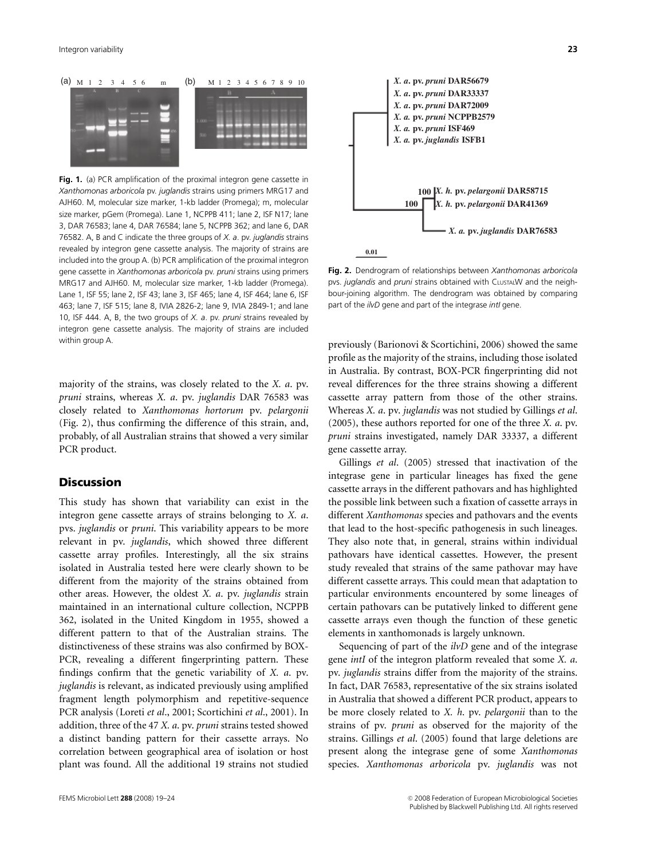

Fig. 1. (a) PCR amplification of the proximal integron gene cassette in Xanthomonas arboricola pv. juglandis strains using primers MRG17 and AJH60. M, molecular size marker, 1-kb ladder (Promega); m, molecular size marker, pGem (Promega). Lane 1, NCPPB 411; lane 2, ISF N17; lane 3, DAR 76583; lane 4, DAR 76584; lane 5, NCPPB 362; and lane 6, DAR 76582. A, B and C indicate the three groups of  $X$ . a. pv. juglandis strains revealed by integron gene cassette analysis. The majority of strains are included into the group A. (b) PCR amplification of the proximal integron gene cassette in Xanthomonas arboricola pv. pruni strains using primers MRG17 and AJH60. M, molecular size marker, 1-kb ladder (Promega). Lane 1, ISF 55; lane 2, ISF 43; lane 3, ISF 465; lane 4, ISF 464; lane 6, ISF 463; lane 7, ISF 515; lane 8, IVIA 2826-2; lane 9, IVIA 2849-1; and lane 10, ISF 444. A, B, the two groups of  $X$ . a. pv. pruni strains revealed by integron gene cassette analysis. The majority of strains are included within group A.

majority of the strains, was closely related to the X. a. pv. pruni strains, whereas X. a. pv. juglandis DAR 76583 was closely related to Xanthomonas hortorum pv. pelargonii (Fig. 2), thus confirming the difference of this strain, and, probably, of all Australian strains that showed a very similar PCR product.

## **Discussion**

This study has shown that variability can exist in the integron gene cassette arrays of strains belonging to X. a. pvs. juglandis or pruni. This variability appears to be more relevant in pv. juglandis, which showed three different cassette array profiles. Interestingly, all the six strains isolated in Australia tested here were clearly shown to be different from the majority of the strains obtained from other areas. However, the oldest X. a. pv. juglandis strain maintained in an international culture collection, NCPPB 362, isolated in the United Kingdom in 1955, showed a different pattern to that of the Australian strains. The distinctiveness of these strains was also confirmed by BOX-PCR, revealing a different fingerprinting pattern. These findings confirm that the genetic variability of X. a. pv. juglandis is relevant, as indicated previously using amplified fragment length polymorphism and repetitive-sequence PCR analysis (Loreti et al., 2001; Scortichini et al., 2001). In addition, three of the 47 X. a. pv. pruni strains tested showed a distinct banding pattern for their cassette arrays. No correlation between geographical area of isolation or host plant was found. All the additional 19 strains not studied



Fig. 2. Dendrogram of relationships between Xanthomonas arboricola pvs. juglandis and pruni strains obtained with CLUSTALW and the neighbour-joining algorithm. The dendrogram was obtained by comparing part of the *ilvD* gene and part of the integrase *intl* gene.

previously (Barionovi & Scortichini, 2006) showed the same profile as the majority of the strains, including those isolated in Australia. By contrast, BOX-PCR fingerprinting did not reveal differences for the three strains showing a different cassette array pattern from those of the other strains. Whereas *X. a.* pv. *juglandis* was not studied by Gillings *et al.* (2005), these authors reported for one of the three X. a. pv. pruni strains investigated, namely DAR 33337, a different gene cassette array.

Gillings et al. (2005) stressed that inactivation of the integrase gene in particular lineages has fixed the gene cassette arrays in the different pathovars and has highlighted the possible link between such a fixation of cassette arrays in different Xanthomonas species and pathovars and the events that lead to the host-specific pathogenesis in such lineages. They also note that, in general, strains within individual pathovars have identical cassettes. However, the present study revealed that strains of the same pathovar may have different cassette arrays. This could mean that adaptation to particular environments encountered by some lineages of certain pathovars can be putatively linked to different gene cassette arrays even though the function of these genetic elements in xanthomonads is largely unknown.

Sequencing of part of the *ilvD* gene and of the integrase gene *intI* of the integron platform revealed that some *X*. *a*. pv. juglandis strains differ from the majority of the strains. In fact, DAR 76583, representative of the six strains isolated in Australia that showed a different PCR product, appears to be more closely related to  $X$ .  $h$ . pv. *pelargonii* than to the strains of pv. pruni as observed for the majority of the strains. Gillings et al. (2005) found that large deletions are present along the integrase gene of some Xanthomonas species. Xanthomonas arboricola pv. juglandis was not